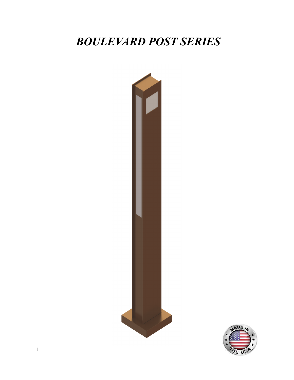# BOULEVARD POST SERIES



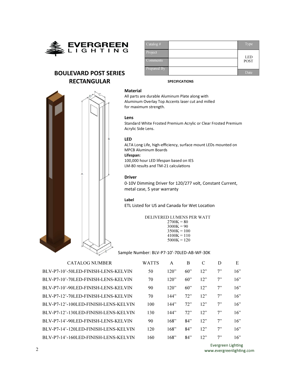

## BOULEVARD POST SERIES RECTANGULAR

| $\vert$ Catalog # | Type        |
|-------------------|-------------|
| Project           | <b>LED</b>  |
| <b>Comments</b>   | <b>POST</b> |
| Prepared By       |             |
|                   | Date        |

#### Material

All parts are durable Aluminum Plate along with Aluminum Overlay Top Accents laser cut and milled for maximum strength.

#### Lens

Standard White Frosted Premium Acrylic or Clear Frosted Premium Acrylic Side Lens.

SPECIFICATIONS

#### LED

ALTA Long Life, high-efficiency, surface mount LEDs mounted on MPCB Aluminum Boards

## Lifespan:

100,000 hour LED lifespan based on IES LM-80 results and TM-21 calculations

### Driver

0-10V Dimming Driver for 120/277 volt, Constant Current, metal case, 5 year warranty

#### Label

ETL Listed for US and Canada for Wet Location

DELIVERED LUMENS PER WATT  $2700K = 80$  $3000K = 90$  $3500K = 100$  $4100K = 110$  $5000K = 120$ 

Sample Number: BLV-P7-10'-70LED-AB-WF-30K

CATALOG NUMBER W BLV-P7-10'-50LED-FINISH-LENS-KELVIN BLV-P7-10'-70LED-FINISH-LENS-KELVIN BLV-P7-10'-90LED-FINISH-LENS-KELVIN BLV-P7-12'-70LED-FINISH-LENS-KELVIN BLV-P7-12'-100LED-FINISH-LENS-KELVIN BLV-P7-12'-130LED-FINISH-LENS-KELVIN BLV-P7-14'-90LED-FINISH-LENS-KELVIN BLV-P7-14'-120LED-FINISH-LENS-KELVIN BLV-P7-14'-160LED-FINISH-LENS-KELVIN

| 'ATTS | A    | B   | C   | D  | E   |
|-------|------|-----|-----|----|-----|
| 50    | 120" | 60" | 12" | 7" | 16" |
| 70    | 120" | 60" | 12" | 7" | 16" |
| 90    | 120" | 60" | 12" | 7" | 16" |
| 70    | 144" | 72" | 12" | 7" | 16" |
| 100   | 144" | 72" | 12" | 7" | 16" |
| 130   | 144" | 72" | 12" | 7" | 16" |
| 90    | 168" | 84" | 12" | 7" | 16" |
| 120   | 168" | 84" | 12" | 7" | 16" |
| 160   | 168" | 84" | 12" | 7" | 16" |

Evergreen Lighting www.evergreenlighting.com

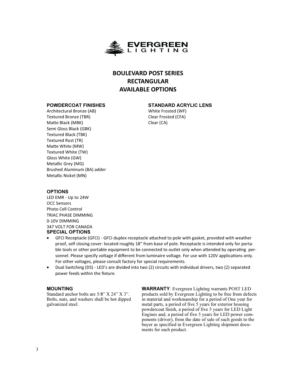

## BOULEVARD POST SERIES RECTANGULAR AVAILABLE OPTIONS

## POWDERCOAT FINISHES

## STANDARD ACRYLIC LENS

Architectural Bronze (AB) Textured Bronze (TBR) Matte Black (MBK) Semi Gloss Black (GBK) Textured Black (TBK) Textured Rust (TR) Matte White (MW) Textured White (TW) Gloss White (GW) Metallic Grey (MG) Brushed Aluminum (BA) adder Metallic Nickel (MN)

White Frosted (WF) Clear Frosted (CFA) Clear (CA)

## OPTIONS

LED EMR - Up to 24W OCC Sensors Photo Cell Control TRIAC PHASE DIMMING 0-10V DIMMING 347 VOLT FOR CANADA SPECIAL OPTIONS

- GFCI Receptacle (GFCI) GFCI duplex receptacle attached to pole with gasket, provided with weather proof, self closing cover: located roughly 18" from base of pole. Receptacle is intended only for portable tools or other portable equipment to be connected to outlet only when attended by operating personnel. Please specify voltage if different from luminaire voltage. For use with 120V applications only. For other voltages, please consult factory for special requirements.
- Dual Switching (DS) LED's are divided into two (2) circuits with individual drivers, two (2) separated power feeds within the fixture.

## MOUNTING

Standard anchor bolts are 5/8" X 24" X 3". Bolts, nuts, and washers shall be hot dipped galvanized steel.

WARRANTY: Evergreen Lighting warrants POST LED products sold by Evergreen Lighting to be free from defects in material and workmanship for a period of One year for metal parts, a period of five 5 years for exterior housing powdercoat finish, a period of five 5 years for LED Light Engines and, a period of five 5 years for LED power components (driver), from the date of sale of such goods to the buyer as specified in Evergreen Lighting shipment documents for each product.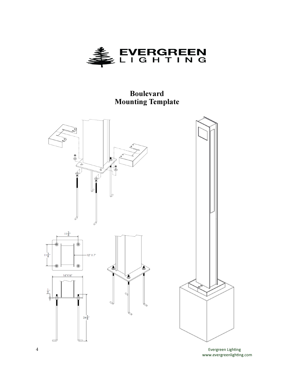

## Boulevard Mounting Template